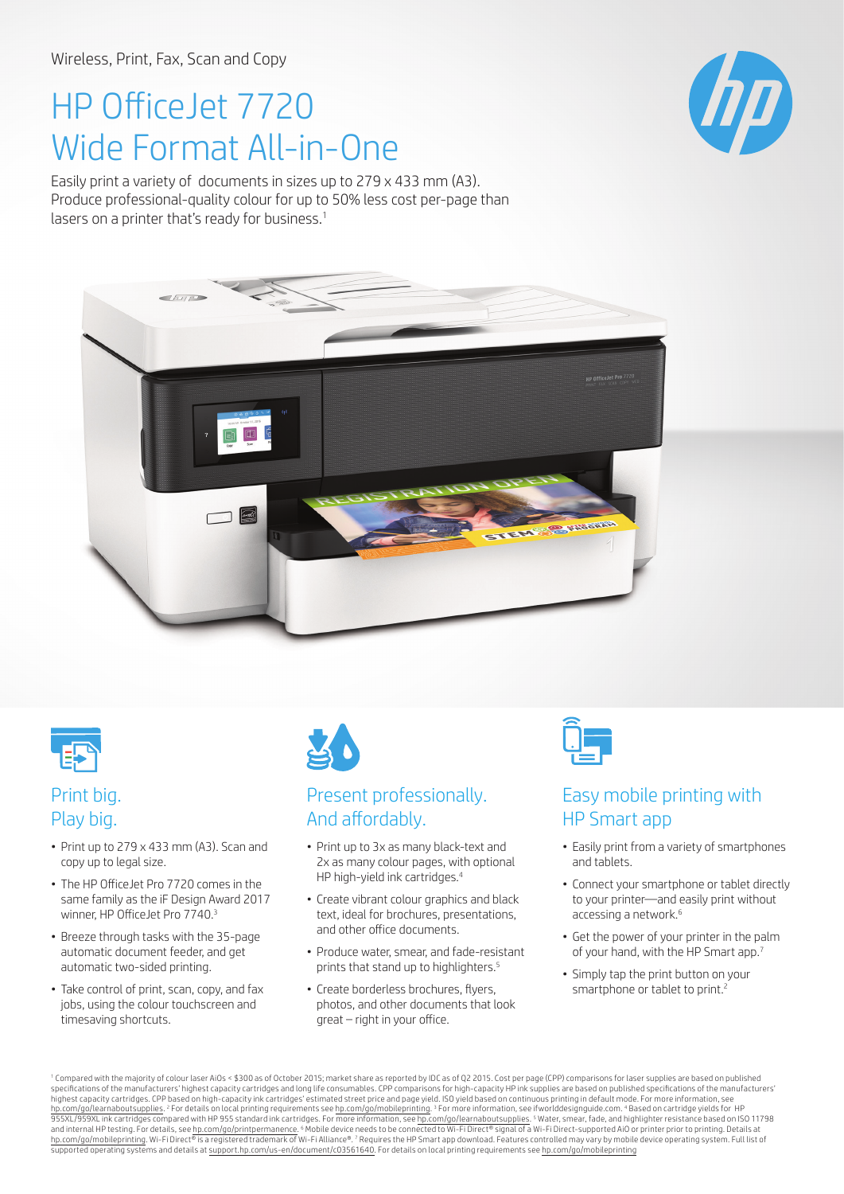# HP OfficeJet 7720 Wide Format All-in-One

Easily print a variety of documents in sizes up to 279 x 433 mm (A3). Produce professional-quality colour for up to 50% less cost per-page than lasers on a printer that's ready for business.<sup>1</sup>







## Print big. Play big.

- Print up to 279 x 433 mm (A3). Scan and copy up to legal size.
- The HP OfficeJet Pro 7720 comes in the same family as the iF Design Award 2017 winner, HP OfficeJet Pro 7740.<sup>3</sup>
- Breeze through tasks with the 35-page automatic document feeder, and get automatic two-sided printing.
- Take control of print, scan, copy, and fax jobs, using the colour touchscreen and timesaving shortcuts.



### Present professionally. And affordably.

- Print up to 3x as many black-text and 2x as many colour pages, with optional HP high-yield ink cartridges.<sup>4</sup>
- Create vibrant colour graphics and black text, ideal for brochures, presentations, and other office documents.
- Produce water, smear, and fade-resistant prints that stand up to highlighters.<sup>5</sup>
- Create borderless brochures, flyers, photos, and other documents that look great – right in your office.



#### Easy mobile printing with HP Smart app

- Easily print from a variety of smartphones and tablets.
- Connect your smartphone or tablet directly to your printer—and easily print without accessing a network.6
- Get the power of your printer in the palm of your hand, with the HP Smart app.7
- Simply tap the print button on your smartphone or tablet to print.<sup>2</sup>

1 Compared with the majority of colour laser AiOs < \$300 as of October 2015; market share as reported by IDC as of Q2 2015. Cost per page (CPP) comparisons for laser supplies are based on published specifications of the manufacturers' highest capacity cartridges and long life consumables. CPP comparisons for high-capacity HP ink supplies are based on published specifications of the manufacturers'<br>highest capacity car h<u>p.com/go/learnaboutsupplies.</u> <sup>2</sup> For details on local printing requirements see <u>hp.com/go/mobileprinting</u>. <sup>3</sup> For more information, see ifworlddesignguide.com. <sup>4</sup> Based on cartridge yields for HP<br>955XL/959XL ink car and internal HP testing. For details, see h<u>p.com/go/printpermanence.</u> 6 Mobile device needs to be connected to Wi-Fi Direct® signal of a Wi-Fi Direct-supported AiO or printer prior to printing. Details at<br>h<u>p.com/go/mobil</u>